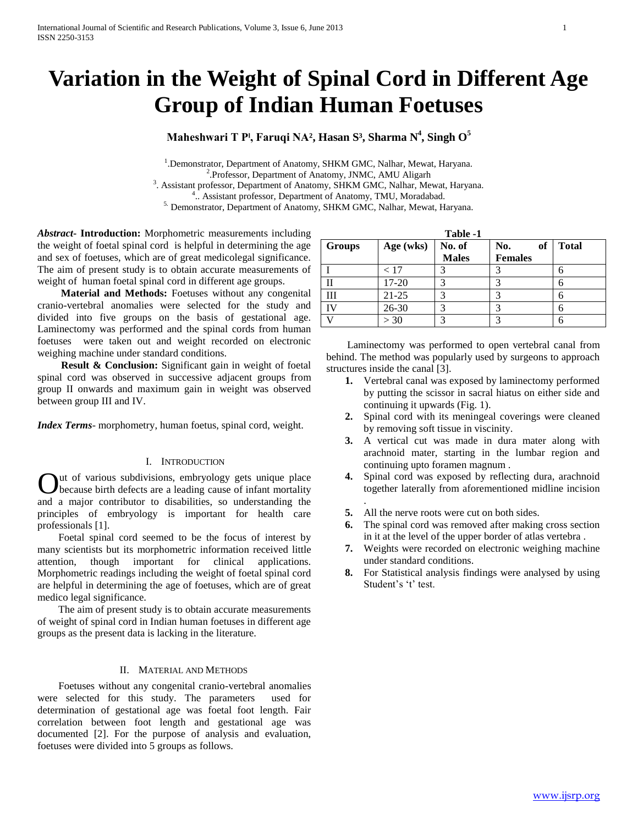# **Variation in the Weight of Spinal Cord in Different Age Group of Indian Human Foetuses**

## **Maheshwari T Pˡ, Faruqi NA², Hasan S³, Sharma N<sup>4</sup> , Singh O<sup>5</sup>**

<sup>1</sup>. Demonstrator, Department of Anatomy, SHKM GMC, Nalhar, Mewat, Haryana. 2 .Professor, Department of Anatomy, JNMC, AMU Aligarh <sup>3</sup>. Assistant professor, Department of Anatomy, SHKM GMC, Nalhar, Mewat, Haryana. 4 .. Assistant professor, Department of Anatomy, TMU, Moradabad. <sup>5.</sup> Demonstrator, Department of Anatomy, SHKM GMC, Nalhar, Mewat, Haryana.

*Abstract***- Introduction:** Morphometric measurements including the weight of foetal spinal cord is helpful in determining the age and sex of foetuses, which are of great medicolegal significance. The aim of present study is to obtain accurate measurements of weight of human foetal spinal cord in different age groups.

 **Material and Methods:** Foetuses without any congenital cranio-vertebral anomalies were selected for the study and divided into five groups on the basis of gestational age. Laminectomy was performed and the spinal cords from human foetuses were taken out and weight recorded on electronic weighing machine under standard conditions.

 **Result & Conclusion:** Significant gain in weight of foetal spinal cord was observed in successive adjacent groups from group II onwards and maximum gain in weight was observed between group III and IV.

*Index Terms*- morphometry, human foetus, spinal cord, weight.

## I. INTRODUCTION

ut of various subdivisions, embryology gets unique place because birth defects are a leading cause of infant mortality **C** and of various subdivisions, embryology gets unique place because birth defects are a leading cause of infant mortality and a major contributor to disabilities, so understanding the principles of embryology is important for health care professionals [1].

 Foetal spinal cord seemed to be the focus of interest by many scientists but its morphometric information received little attention, though important for clinical applications. Morphometric readings including the weight of foetal spinal cord are helpful in determining the age of foetuses, which are of great medico legal significance.

 The aim of present study is to obtain accurate measurements of weight of spinal cord in Indian human foetuses in different age groups as the present data is lacking in the literature.

### II. MATERIAL AND METHODS

 Foetuses without any congenital cranio-vertebral anomalies were selected for this study. The parameters used for determination of gestational age was foetal foot length. Fair correlation between foot length and gestational age was documented [2]. For the purpose of analysis and evaluation, foetuses were divided into 5 groups as follows.

| Table -1      |           |              |                |       |  |  |  |  |
|---------------|-----------|--------------|----------------|-------|--|--|--|--|
| <b>Groups</b> | Age (wks) | No. of       | No.<br>of      | Total |  |  |  |  |
|               |           | <b>Males</b> | <b>Females</b> |       |  |  |  |  |
|               | < 17      |              |                |       |  |  |  |  |
| П             | 17-20     |              |                |       |  |  |  |  |
| Ш             | $21 - 25$ |              |                |       |  |  |  |  |
| IV            | 26-30     |              |                |       |  |  |  |  |
|               | >30       |              |                |       |  |  |  |  |

 Laminectomy was performed to open vertebral canal from behind. The method was popularly used by surgeons to approach structures inside the canal [3].

- **1.** Vertebral canal was exposed by laminectomy performed by putting the scissor in sacral hiatus on either side and continuing it upwards (Fig. 1).
- **2.** Spinal cord with its meningeal coverings were cleaned by removing soft tissue in viscinity.
- **3.** A vertical cut was made in dura mater along with arachnoid mater, starting in the lumbar region and continuing upto foramen magnum .
- **4.** Spinal cord was exposed by reflecting dura, arachnoid together laterally from aforementioned midline incision .
- **5.** All the nerve roots were cut on both sides.
- **6.** The spinal cord was removed after making cross section in it at the level of the upper border of atlas vertebra .
- **7.** Weights were recorded on electronic weighing machine under standard conditions.
- **8.** For Statistical analysis findings were analysed by using Student's 't' test.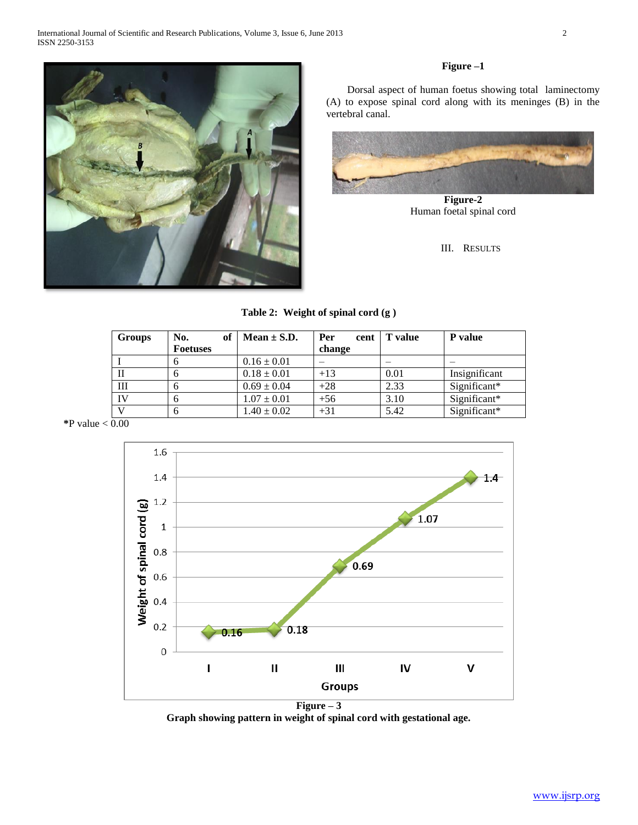

## **Figure –1**

 Dorsal aspect of human foetus showing total laminectomy (A) to expose spinal cord along with its meninges (B) in the vertebral canal.



**Figure-2** Human foetal spinal cord

III. RESULTS

## **Table 2: Weight of spinal cord (g )**

| Groups | No.<br><b>Foetuses</b> | of | Mean $\pm$ S.D. | Per<br>cent<br>change | <b>T</b> value | P value       |
|--------|------------------------|----|-----------------|-----------------------|----------------|---------------|
|        | n                      |    | $0.16 \pm 0.01$ |                       |                |               |
| П      | n                      |    | $0.18 \pm 0.01$ | $+13$                 | 0.01           | Insignificant |
| Ш      |                        |    | $0.69 \pm 0.04$ | $+28$                 | 2.33           | Significant*  |
| IV     | n                      |    | $1.07 \pm 0.01$ | $+56$                 | 3.10           | Significant*  |
|        | n                      |    | $1.40 \pm 0.02$ | $+31$                 | 5.42           | Significant*  |

 $*P$  value  $< 0.00$ 



 $Figure - 3$ **Graph showing pattern in weight of spinal cord with gestational age.**